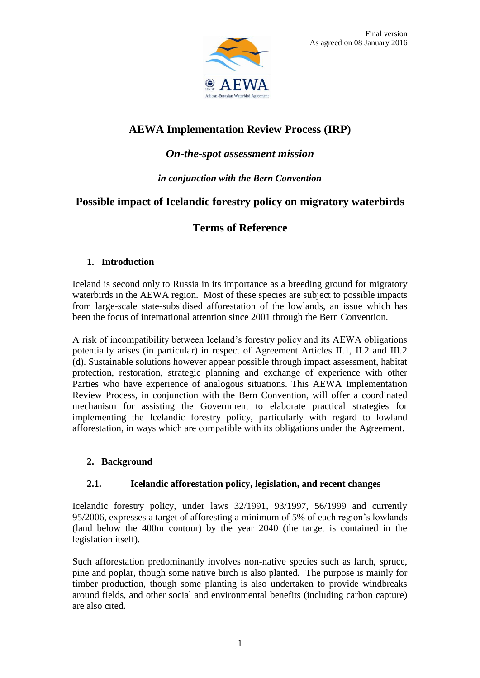

# **AEWA Implementation Review Process (IRP)**

### *On-the-spot assessment mission*

### *in conjunction with the Bern Convention*

## **Possible impact of Icelandic forestry policy on migratory waterbirds**

### **Terms of Reference**

### **1. Introduction**

Iceland is second only to Russia in its importance as a breeding ground for migratory waterbirds in the AEWA region. Most of these species are subject to possible impacts from large-scale state-subsidised afforestation of the lowlands, an issue which has been the focus of international attention since 2001 through the Bern Convention.

A risk of incompatibility between Iceland's forestry policy and its AEWA obligations potentially arises (in particular) in respect of Agreement Articles II.1, II.2 and III.2 (d). Sustainable solutions however appear possible through impact assessment, habitat protection, restoration, strategic planning and exchange of experience with other Parties who have experience of analogous situations. This AEWA Implementation Review Process, in conjunction with the Bern Convention, will offer a coordinated mechanism for assisting the Government to elaborate practical strategies for implementing the Icelandic forestry policy, particularly with regard to lowland afforestation, in ways which are compatible with its obligations under the Agreement.

### **2. Background**

### **2.1. Icelandic afforestation policy, legislation, and recent changes**

Icelandic forestry policy, under laws 32/1991, 93/1997, 56/1999 and currently 95/2006, expresses a target of afforesting a minimum of 5% of each region's lowlands (land below the 400m contour) by the year 2040 (the target is contained in the legislation itself).

Such afforestation predominantly involves non-native species such as larch, spruce, pine and poplar, though some native birch is also planted. The purpose is mainly for timber production, though some planting is also undertaken to provide windbreaks around fields, and other social and environmental benefits (including carbon capture) are also cited.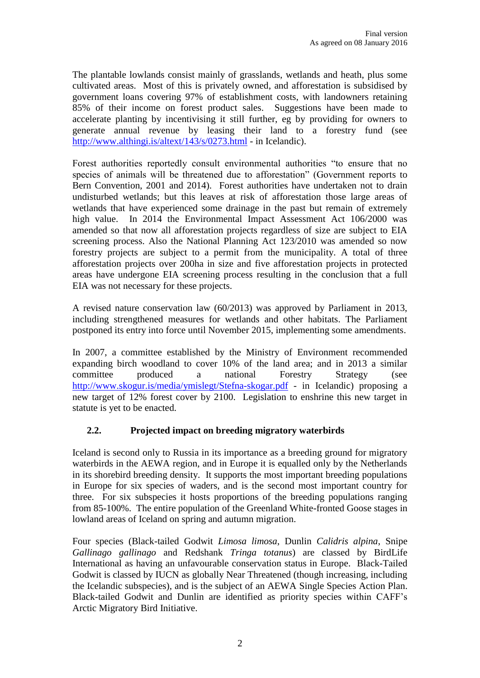The plantable lowlands consist mainly of grasslands, wetlands and heath, plus some cultivated areas. Most of this is privately owned, and afforestation is subsidised by government loans covering 97% of establishment costs, with landowners retaining 85% of their income on forest product sales. Suggestions have been made to accelerate planting by incentivising it still further, eg by providing for owners to generate annual revenue by leasing their land to a forestry fund (see <http://www.althingi.is/altext/143/s/0273.html> - in Icelandic).

Forest authorities reportedly consult environmental authorities "to ensure that no species of animals will be threatened due to afforestation" (Government reports to Bern Convention, 2001 and 2014). Forest authorities have undertaken not to drain undisturbed wetlands; but this leaves at risk of afforestation those large areas of wetlands that have experienced some drainage in the past but remain of extremely high value. In 2014 the Environmental Impact Assessment Act 106/2000 was amended so that now all afforestation projects regardless of size are subject to EIA screening process. Also the National Planning Act 123/2010 was amended so now forestry projects are subject to a permit from the municipality. A total of three afforestation projects over 200ha in size and five afforestation projects in protected areas have undergone EIA screening process resulting in the conclusion that a full EIA was not necessary for these projects.

A revised nature conservation law (60/2013) was approved by Parliament in 2013, including strengthened measures for wetlands and other habitats. The Parliament postponed its entry into force until November 2015, implementing some amendments.

In 2007, a committee established by the Ministry of Environment recommended expanding birch woodland to cover 10% of the land area; and in 2013 a similar committee produced a national Forestry Strategy (see <http://www.skogur.is/media/ymislegt/Stefna-skogar.pdf> - in Icelandic) proposing a new target of 12% forest cover by 2100. Legislation to enshrine this new target in statute is yet to be enacted.

### **2.2. Projected impact on breeding migratory waterbirds**

Iceland is second only to Russia in its importance as a breeding ground for migratory waterbirds in the AEWA region, and in Europe it is equalled only by the Netherlands in its shorebird breeding density. It supports the most important breeding populations in Europe for six species of waders, and is the second most important country for three. For six subspecies it hosts proportions of the breeding populations ranging from 85-100%. The entire population of the Greenland White-fronted Goose stages in lowland areas of Iceland on spring and autumn migration.

Four species (Black-tailed Godwit *Limosa limosa*, Dunlin *Calidris alpina*, Snipe *Gallinago gallinago* and Redshank *Tringa totanus*) are classed by BirdLife International as having an unfavourable conservation status in Europe. Black-Tailed Godwit is classed by IUCN as globally Near Threatened (though increasing, including the Icelandic subspecies), and is the subject of an AEWA Single Species Action Plan. Black-tailed Godwit and Dunlin are identified as priority species within CAFF's Arctic Migratory Bird Initiative.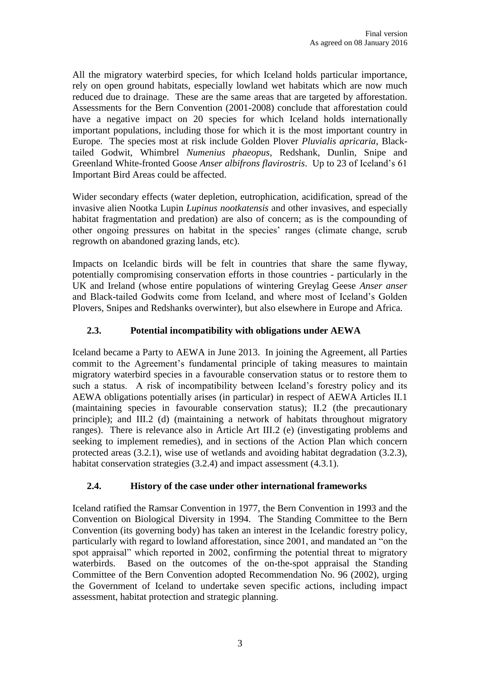All the migratory waterbird species, for which Iceland holds particular importance, rely on open ground habitats, especially lowland wet habitats which are now much reduced due to drainage. These are the same areas that are targeted by afforestation. Assessments for the Bern Convention (2001-2008) conclude that afforestation could have a negative impact on 20 species for which Iceland holds internationally important populations, including those for which it is the most important country in Europe. The species most at risk include Golden Plover *Pluvialis apricaria*, Blacktailed Godwit, Whimbrel *Numenius phaeopus*, Redshank, Dunlin, Snipe and Greenland White-fronted Goose *Anser albifrons flavirostris*. Up to 23 of Iceland's 61 Important Bird Areas could be affected.

Wider secondary effects (water depletion, eutrophication, acidification, spread of the invasive alien Nootka Lupin *Lupinus nootkatensis* and other invasives, and especially habitat fragmentation and predation) are also of concern; as is the compounding of other ongoing pressures on habitat in the species' ranges (climate change, scrub regrowth on abandoned grazing lands, etc).

Impacts on Icelandic birds will be felt in countries that share the same flyway, potentially compromising conservation efforts in those countries - particularly in the UK and Ireland (whose entire populations of wintering Greylag Geese *Anser anser* and Black-tailed Godwits come from Iceland, and where most of Iceland's Golden Plovers, Snipes and Redshanks overwinter), but also elsewhere in Europe and Africa.

### **2.3. Potential incompatibility with obligations under AEWA**

Iceland became a Party to AEWA in June 2013. In joining the Agreement, all Parties commit to the Agreement's fundamental principle of taking measures to maintain migratory waterbird species in a favourable conservation status or to restore them to such a status. A risk of incompatibility between Iceland's forestry policy and its AEWA obligations potentially arises (in particular) in respect of AEWA Articles II.1 (maintaining species in favourable conservation status); II.2 (the precautionary principle); and III.2 (d) (maintaining a network of habitats throughout migratory ranges). There is relevance also in Article Art III.2 (e) (investigating problems and seeking to implement remedies), and in sections of the Action Plan which concern protected areas (3.2.1), wise use of wetlands and avoiding habitat degradation (3.2.3), habitat conservation strategies (3.2.4) and impact assessment (4.3.1).

### **2.4. History of the case under other international frameworks**

Iceland ratified the Ramsar Convention in 1977, the Bern Convention in 1993 and the Convention on Biological Diversity in 1994. The Standing Committee to the Bern Convention (its governing body) has taken an interest in the Icelandic forestry policy, particularly with regard to lowland afforestation, since 2001, and mandated an "on the spot appraisal" which reported in 2002, confirming the potential threat to migratory waterbirds. Based on the outcomes of the on-the-spot appraisal the Standing Committee of the Bern Convention adopted Recommendation No. 96 (2002), urging the Government of Iceland to undertake seven specific actions, including impact assessment, habitat protection and strategic planning.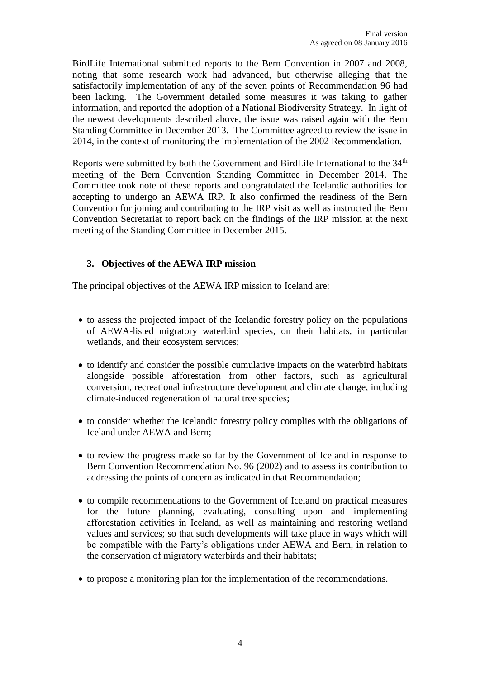BirdLife International submitted reports to the Bern Convention in 2007 and 2008, noting that some research work had advanced, but otherwise alleging that the satisfactorily implementation of any of the seven points of Recommendation 96 had been lacking. The Government detailed some measures it was taking to gather information, and reported the adoption of a National Biodiversity Strategy. In light of the newest developments described above, the issue was raised again with the Bern Standing Committee in December 2013. The Committee agreed to review the issue in 2014, in the context of monitoring the implementation of the 2002 Recommendation.

Reports were submitted by both the Government and BirdLife International to the 34<sup>th</sup> meeting of the Bern Convention Standing Committee in December 2014. The Committee took note of these reports and congratulated the Icelandic authorities for accepting to undergo an AEWA IRP. It also confirmed the readiness of the Bern Convention for joining and contributing to the IRP visit as well as instructed the Bern Convention Secretariat to report back on the findings of the IRP mission at the next meeting of the Standing Committee in December 2015.

### **3. Objectives of the AEWA IRP mission**

The principal objectives of the AEWA IRP mission to Iceland are:

- to assess the projected impact of the Icelandic forestry policy on the populations of AEWA-listed migratory waterbird species, on their habitats, in particular wetlands, and their ecosystem services;
- to identify and consider the possible cumulative impacts on the waterbird habitats alongside possible afforestation from other factors, such as agricultural conversion, recreational infrastructure development and climate change, including climate-induced regeneration of natural tree species;
- to consider whether the Icelandic forestry policy complies with the obligations of Iceland under AEWA and Bern;
- to review the progress made so far by the Government of Iceland in response to Bern Convention Recommendation No. 96 (2002) and to assess its contribution to addressing the points of concern as indicated in that Recommendation;
- to compile recommendations to the Government of Iceland on practical measures for the future planning, evaluating, consulting upon and implementing afforestation activities in Iceland, as well as maintaining and restoring wetland values and services; so that such developments will take place in ways which will be compatible with the Party's obligations under AEWA and Bern, in relation to the conservation of migratory waterbirds and their habitats;
- to propose a monitoring plan for the implementation of the recommendations.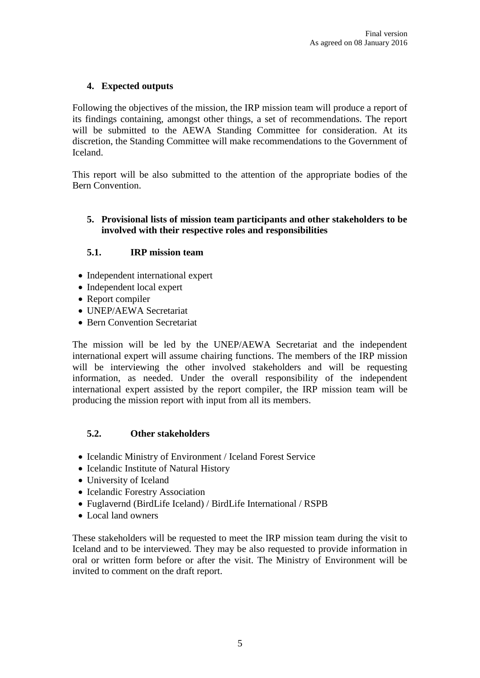### **4. Expected outputs**

Following the objectives of the mission, the IRP mission team will produce a report of its findings containing, amongst other things, a set of recommendations. The report will be submitted to the AEWA Standing Committee for consideration. At its discretion, the Standing Committee will make recommendations to the Government of Iceland.

This report will be also submitted to the attention of the appropriate bodies of the Bern Convention.

#### **5. Provisional lists of mission team participants and other stakeholders to be involved with their respective roles and responsibilities**

### **5.1. IRP mission team**

- Independent international expert
- Independent local expert
- Report compiler
- UNEP/AEWA Secretariat
- Bern Convention Secretariat

The mission will be led by the UNEP/AEWA Secretariat and the independent international expert will assume chairing functions. The members of the IRP mission will be interviewing the other involved stakeholders and will be requesting information, as needed. Under the overall responsibility of the independent international expert assisted by the report compiler, the IRP mission team will be producing the mission report with input from all its members.

#### **5.2. Other stakeholders**

- Icelandic Ministry of Environment / Iceland Forest Service
- Icelandic Institute of Natural History
- University of Iceland
- Icelandic Forestry Association
- Fuglavernd (BirdLife Iceland) / BirdLife International / RSPB
- Local land owners

These stakeholders will be requested to meet the IRP mission team during the visit to Iceland and to be interviewed. They may be also requested to provide information in oral or written form before or after the visit. The Ministry of Environment will be invited to comment on the draft report.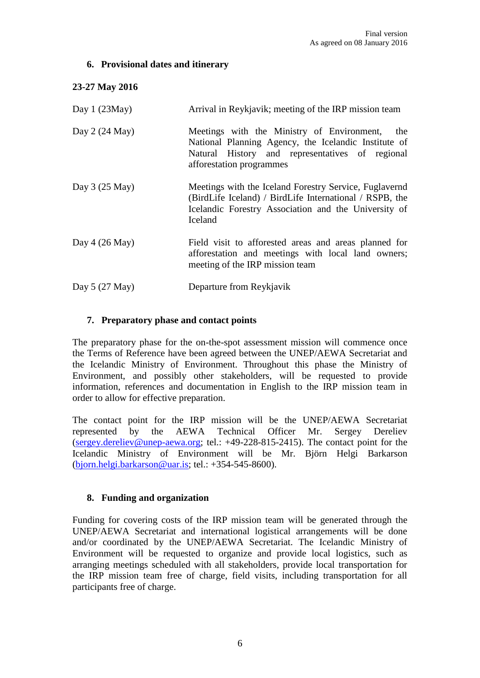### **6. Provisional dates and itinerary**

### **23-27 May 2016**

| Day $1(23May)$  | Arrival in Reykjavik; meeting of the IRP mission team                                                                                                                                    |
|-----------------|------------------------------------------------------------------------------------------------------------------------------------------------------------------------------------------|
| Day $2(24$ May) | Meetings with the Ministry of Environment,<br>the<br>National Planning Agency, the Icelandic Institute of<br>Natural History and representatives of regional<br>afforestation programmes |
| Day $3(25$ May) | Meetings with the Iceland Forestry Service, Fuglavernd<br>(BirdLife Iceland) / BirdLife International / RSPB, the<br>Icelandic Forestry Association and the University of<br>Iceland     |
| Day $4(26$ May) | Field visit to afforested areas and areas planned for<br>afforestation and meetings with local land owners;<br>meeting of the IRP mission team                                           |
| Day $5(27$ May) | Departure from Reykjavik                                                                                                                                                                 |

### **7. Preparatory phase and contact points**

The preparatory phase for the on-the-spot assessment mission will commence once the Terms of Reference have been agreed between the UNEP/AEWA Secretariat and the Icelandic Ministry of Environment. Throughout this phase the Ministry of Environment, and possibly other stakeholders, will be requested to provide information, references and documentation in English to the IRP mission team in order to allow for effective preparation.

The contact point for the IRP mission will be the UNEP/AEWA Secretariat represented by the AEWA Technical Officer Mr. Sergey Dereliev [\(sergey.dereliev@unep-aewa.org;](mailto:sergey.dereliev@unep-aewa.org) tel.: +49-228-815-2415). The contact point for the Icelandic Ministry of Environment will be Mr. Björn Helgi Barkarson [\(bjorn.helgi.barkarson@uar.is;](mailto:bjorn.helgi.barkarson@uar.is) tel.: +354-545-8600).

### **8. Funding and organization**

Funding for covering costs of the IRP mission team will be generated through the UNEP/AEWA Secretariat and international logistical arrangements will be done and/or coordinated by the UNEP/AEWA Secretariat. The Icelandic Ministry of Environment will be requested to organize and provide local logistics, such as arranging meetings scheduled with all stakeholders, provide local transportation for the IRP mission team free of charge, field visits, including transportation for all participants free of charge.